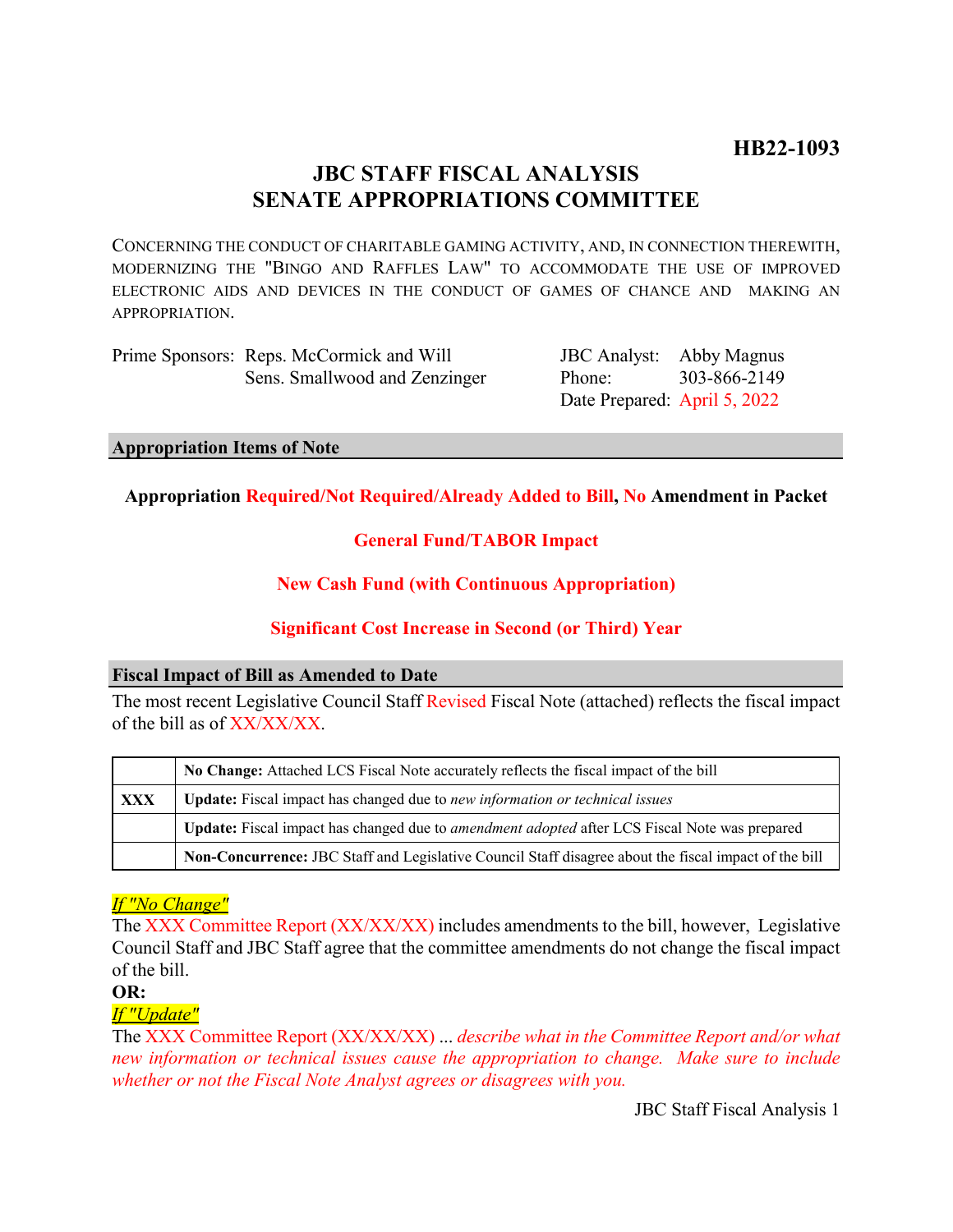# **JBC STAFF FISCAL ANALYSIS SENATE APPROPRIATIONS COMMITTEE**

CONCERNING THE CONDUCT OF CHARITABLE GAMING ACTIVITY, AND, IN CONNECTION THEREWITH, MODERNIZING THE "BINGO AND RAFFLES LAW" TO ACCOMMODATE THE USE OF IMPROVED ELECTRONIC AIDS AND DEVICES IN THE CONDUCT OF GAMES OF CHANCE AND MAKING AN APPROPRIATION.

| Prime Sponsors: Reps. McCormick and Will |
|------------------------------------------|
| Sens. Smallwood and Zenzinger            |

JBC Analyst: Abby Magnus Phone: Date Prepared: April 5, 2022 303-866-2149

#### **Appropriation Items of Note**

### **Appropriation Required/Not Required/Already Added to Bill, No Amendment in Packet**

### **General Fund/TABOR Impact**

### **New Cash Fund (with Continuous Appropriation)**

# **Significant Cost Increase in Second (or Third) Year**

#### **Fiscal Impact of Bill as Amended to Date**

The most recent Legislative Council Staff Revised Fiscal Note (attached) reflects the fiscal impact of the bill as of XX/XX/XX.

|     | No Change: Attached LCS Fiscal Note accurately reflects the fiscal impact of the bill                 |  |
|-----|-------------------------------------------------------------------------------------------------------|--|
| XXX | Update: Fiscal impact has changed due to new information or technical issues                          |  |
|     | Update: Fiscal impact has changed due to <i>amendment adopted</i> after LCS Fiscal Note was prepared  |  |
|     | Non-Concurrence: JBC Staff and Legislative Council Staff disagree about the fiscal impact of the bill |  |

# *If "No Change"*

The XXX Committee Report (XX/XX/XX) includes amendments to the bill, however, Legislative Council Staff and JBC Staff agree that the committee amendments do not change the fiscal impact of the bill.

**OR:**

#### *If "Update"*

The XXX Committee Report (XX/XX/XX) ... *describe what in the Committee Report and/or what new information or technical issues cause the appropriation to change. Make sure to include whether or not the Fiscal Note Analyst agrees or disagrees with you.*

JBC Staff Fiscal Analysis 1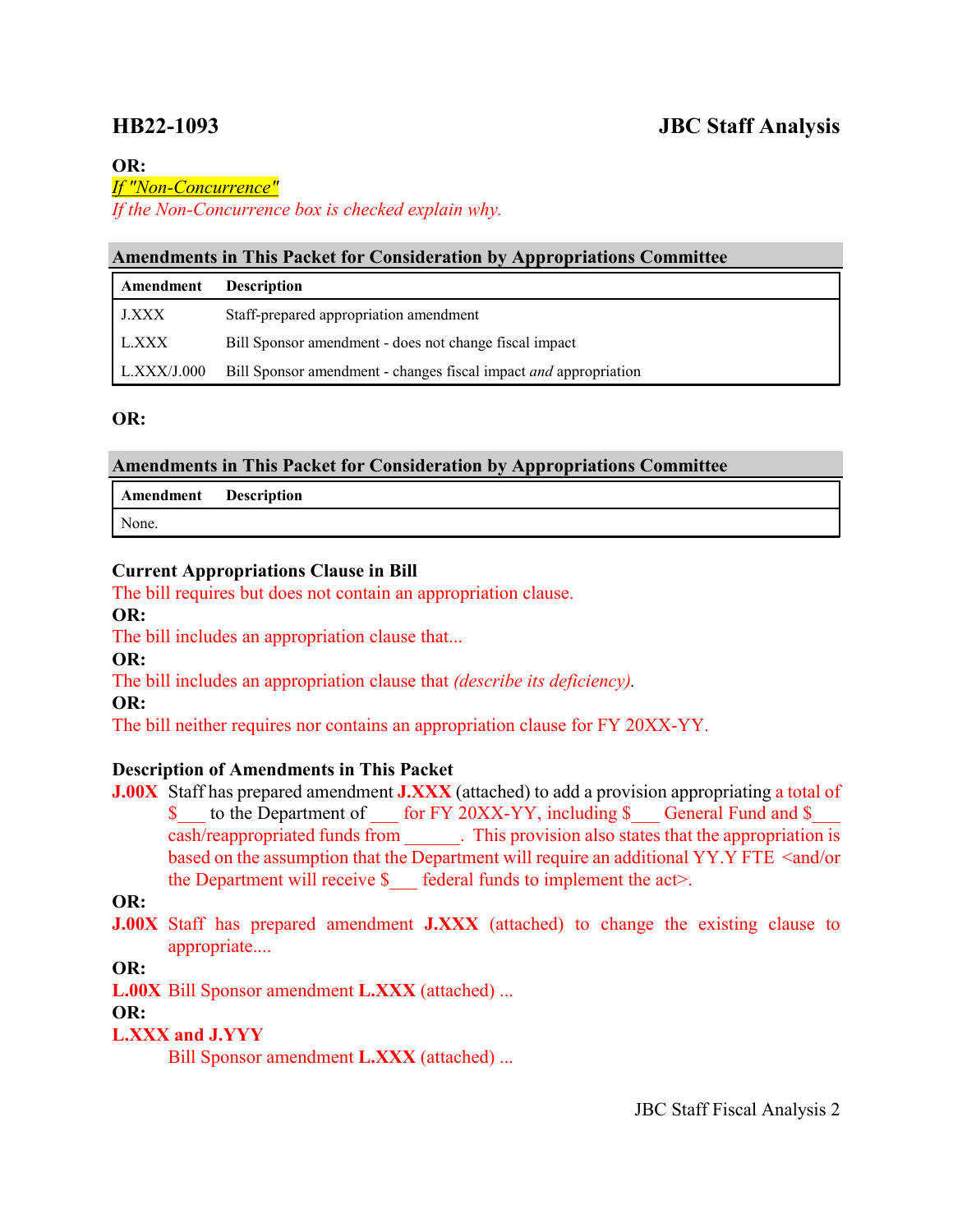# **HB22-1093 JBC Staff Analysis**

#### **OR:**

#### *If "Non-Concurrence"*

*If the Non-Concurrence box is checked explain why.* 

#### **Amendments in This Packet for Consideration by Appropriations Committee**

| Amendment          | <b>Description</b>                                               |
|--------------------|------------------------------------------------------------------|
| J.XXX              | Staff-prepared appropriation amendment                           |
| L.XXX              | Bill Sponsor amendment - does not change fiscal impact           |
| $\mid$ L.XXX/J.000 | Bill Sponsor amendment - changes fiscal impact and appropriation |

### **OR:**

### **Amendments in This Packet for Consideration by Appropriations Committee**

| <b>Amendment</b> Description |  |
|------------------------------|--|
| None.                        |  |

### **Current Appropriations Clause in Bill**

The bill requires but does not contain an appropriation clause.

**OR:**

The bill includes an appropriation clause that...

**OR:**

The bill includes an appropriation clause that *(describe its deficiency).*

**OR:**

The bill neither requires nor contains an appropriation clause for FY 20XX-YY.

# **Description of Amendments in This Packet**

**J.00X** Staff has prepared amendment **J.XXX** (attached) to add a provision appropriating a total of \$ to the Department of for FY 20XX-YY, including \$ General Fund and \$ cash/reappropriated funds from . This provision also states that the appropriation is based on the assumption that the Department will require an additional YY.Y FTE <and/or the Department will receive  $\S$  federal funds to implement the act>.

# **OR:**

**J.00X** Staff has prepared amendment **J.XXX** (attached) to change the existing clause to appropriate....

# **OR:**

**L.00X** Bill Sponsor amendment **L.XXX** (attached) ...

# **OR:**

# **L.XXX and J.YYY**

Bill Sponsor amendment **L.XXX** (attached) ...